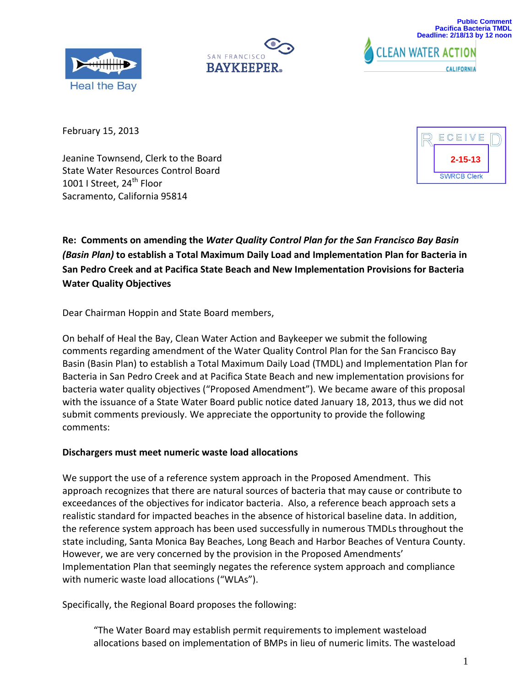



CALIFORNIA

**CLEAN WATER ACTION** 

February 15, 2013

Jeanine Townsend, Clerk to the Board State Water Resources Control Board 1001 I Street, 24<sup>th</sup> Floor Sacramento, California 95814



**Re: Comments on amending the** *Water Quality Control Plan for the San Francisco Bay Basin (Basin Plan)* **to establish a Total Maximum Daily Load and Implementation Plan for Bacteria in San Pedro Creek and at Pacifica State Beach and New Implementation Provisions for Bacteria Water Quality Objectives**

Dear Chairman Hoppin and State Board members,

On behalf of Heal the Bay, Clean Water Action and Baykeeper we submit the following comments regarding amendment of the Water Quality Control Plan for the San Francisco Bay Basin (Basin Plan) to establish a Total Maximum Daily Load (TMDL) and Implementation Plan for Bacteria in San Pedro Creek and at Pacifica State Beach and new implementation provisions for bacteria water quality objectives ("Proposed Amendment"). We became aware of this proposal with the issuance of a State Water Board public notice dated January 18, 2013, thus we did not submit comments previously. We appreciate the opportunity to provide the following comments:

## **Dischargers must meet numeric waste load allocations**

We support the use of a reference system approach in the Proposed Amendment. This approach recognizes that there are natural sources of bacteria that may cause or contribute to exceedances of the objectives for indicator bacteria. Also, a reference beach approach sets a realistic standard for impacted beaches in the absence of historical baseline data. In addition, the reference system approach has been used successfully in numerous TMDLs throughout the state including, Santa Monica Bay Beaches, Long Beach and Harbor Beaches of Ventura County. However, we are very concerned by the provision in the Proposed Amendments' Implementation Plan that seemingly negates the reference system approach and compliance with numeric waste load allocations ("WLAs").

Specifically, the Regional Board proposes the following:

"The Water Board may establish permit requirements to implement wasteload allocations based on implementation of BMPs in lieu of numeric limits. The wasteload